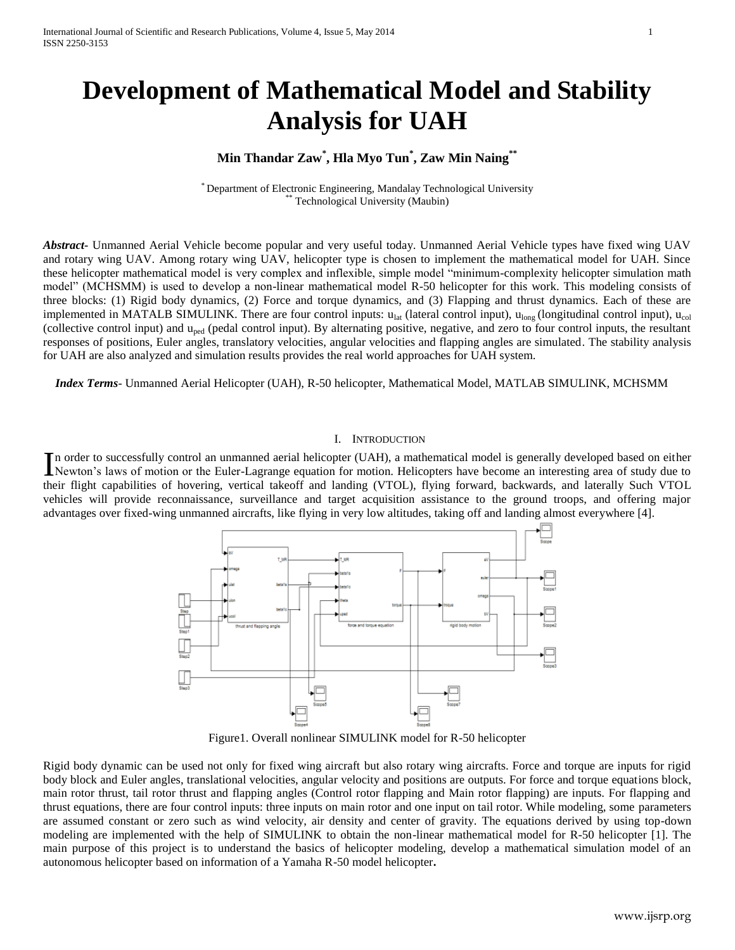# **Development of Mathematical Model and Stability Analysis for UAH**

# **Min Thandar Zaw\* , Hla Myo Tun\* , Zaw Min Naing\*\***

\* Department of Electronic Engineering, Mandalay Technological University Technological University (Maubin)

*Abstract***-** Unmanned Aerial Vehicle become popular and very useful today. Unmanned Aerial Vehicle types have fixed wing UAV and rotary wing UAV. Among rotary wing UAV, helicopter type is chosen to implement the mathematical model for UAH. Since these helicopter mathematical model is very complex and inflexible, simple model "minimum-complexity helicopter simulation math model" (MCHSMM) is used to develop a non-linear mathematical model R-50 helicopter for this work. This modeling consists of three blocks: (1) Rigid body dynamics, (2) Force and torque dynamics, and (3) Flapping and thrust dynamics. Each of these are implemented in MATALB SIMULINK. There are four control inputs:  $u_{lat}$  (lateral control input),  $u_{long}$  (longitudinal control input),  $u_{col}$ (collective control input) and uped (pedal control input). By alternating positive, negative, and zero to four control inputs, the resultant responses of positions, Euler angles, translatory velocities, angular velocities and flapping angles are simulated. The stability analysis for UAH are also analyzed and simulation results provides the real world approaches for UAH system.

*Index Terms*- Unmanned Aerial Helicopter (UAH), R-50 helicopter, Mathematical Model, MATLAB SIMULINK, MCHSMM

#### I. INTRODUCTION

n order to successfully control an unmanned aerial helicopter (UAH), a mathematical model is generally developed based on either In order to successfully control an unmanned aerial helicopter (UAH), a mathematical model is generally developed based on either<br>Newton's laws of motion or the Euler-Lagrange equation for motion. Helicopters have become a their flight capabilities of hovering, vertical takeoff and landing (VTOL), flying forward, backwards, and laterally Such VTOL vehicles will provide reconnaissance, surveillance and target acquisition assistance to the ground troops, and offering major advantages over fixed-wing unmanned aircrafts, like flying in very low altitudes, taking off and landing almost everywhere [4].



Figure1. Overall nonlinear SIMULINK model for R-50 helicopter

Rigid body dynamic can be used not only for fixed wing aircraft but also rotary wing aircrafts. Force and torque are inputs for rigid body block and Euler angles, translational velocities, angular velocity and positions are outputs. For force and torque equations block, main rotor thrust, tail rotor thrust and flapping angles (Control rotor flapping and Main rotor flapping) are inputs. For flapping and thrust equations, there are four control inputs: three inputs on main rotor and one input on tail rotor. While modeling, some parameters are assumed constant or zero such as wind velocity, air density and center of gravity. The equations derived by using top-down modeling are implemented with the help of SIMULINK to obtain the non-linear mathematical model for R-50 helicopter [1]. The main purpose of this project is to understand the basics of helicopter modeling, develop a mathematical simulation model of an autonomous helicopter based on information of a Yamaha R-50 model helicopter**.**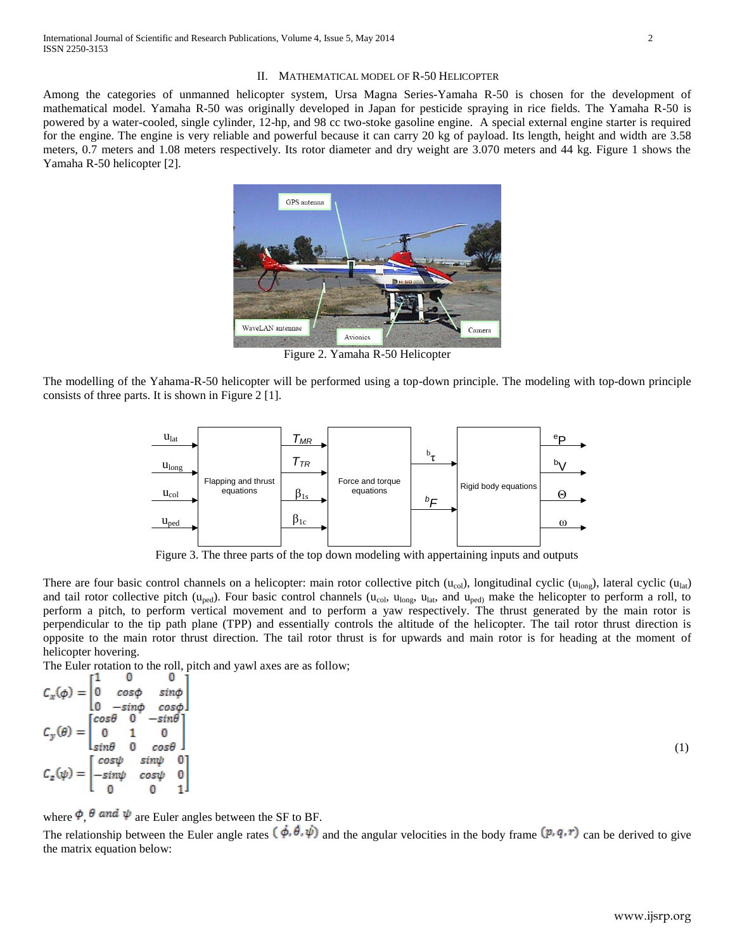Among the categories of unmanned helicopter system, Ursa Magna Series-Yamaha R-50 is chosen for the development of mathematical model. Yamaha R-50 was originally developed in Japan for pesticide spraying in rice fields. The Yamaha R-50 is powered by a water-cooled, single cylinder, 12-hp, and 98 cc two-stoke gasoline engine. A special external engine starter is required for the engine. The engine is very reliable and powerful because it can carry 20 kg of payload. Its length, height and width are 3.58 meters, 0.7 meters and 1.08 meters respectively. Its rotor diameter and dry weight are 3.070 meters and 44 kg. Figure 1 shows the Yamaha R-50 helicopter [2].



Figure 2. Yamaha R-50 Helicopter

The modelling of the Yahama-R-50 helicopter will be performed using a top-down principle. The modeling with top-down principle consists of three parts. It is shown in Figure 2 [1].



Figure 3. The three parts of the top down modeling with appertaining inputs and outputs

There are four basic control channels on a helicopter: main rotor collective pitch  $(u_{col})$ , longitudinal cyclic  $(u_{lon})$ , lateral cyclic  $(u_{lat})$ and tail rotor collective pitch ( $u_{\text{ped}}$ ). Four basic control channels ( $u_{\text{col}}$ ,  $u_{\text{long}}$ ,  $u_{\text{lat}}$ , and  $u_{\text{ped}}$ ) make the helicopter to perform a roll, to perform a pitch, to perform vertical movement and to perform a yaw respectively. The thrust generated by the main rotor is perpendicular to the tip path plane (TPP) and essentially controls the altitude of the helicopter. The tail rotor thrust direction is opposite to the main rotor thrust direction. The tail rotor thrust is for upwards and main rotor is for heading at the moment of helicopter hovering.

The Euler rotation to the roll, pitch and yawl axes are as follow; r1  $\Omega$ 0 i

$$
C_x(\phi) = \begin{bmatrix} 1 & \cos\phi & \sin\phi \\ 0 & -\sin\phi & \cos\phi \\ 0 & -\sin\phi & \cos\phi \end{bmatrix}
$$
\n
$$
C_y(\theta) = \begin{bmatrix} \cos\theta & 0 & -\sin\theta \\ 0 & 1 & 0 \\ \sin\theta & 0 & \cos\theta \\ -\sin\psi & \cos\psi & 0 \\ 0 & 0 & 1 \end{bmatrix} \tag{1}
$$

where  $\phi$ ,  $\theta$  and  $\psi$  are Euler angles between the SF to BF.

The relationship between the Euler angle rates  $(\dot{\phi}, \dot{\theta}, \dot{\psi})$  and the angular velocities in the body frame  $(p, q, r)$  can be derived to give the matrix equation below: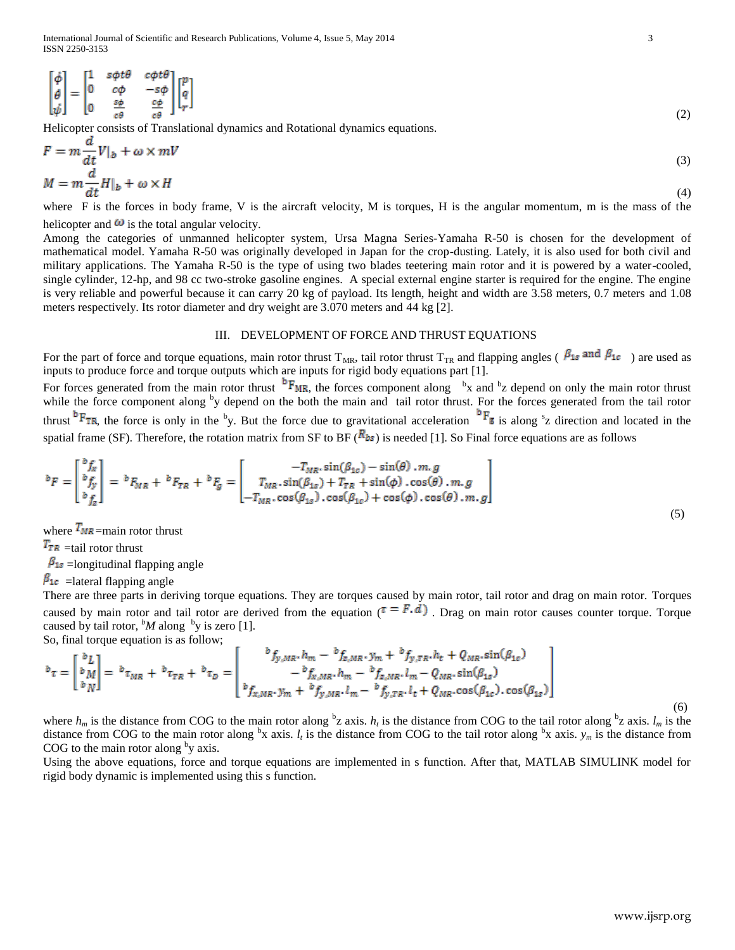$$
\begin{bmatrix} \dot{\phi} \\ \dot{\theta} \\ \dot{\psi} \end{bmatrix} = \begin{bmatrix} 1 & s\phi t\theta & c\phi t\theta \\ 0 & c\phi & -s\phi \\ 0 & \frac{s\phi}{c\theta} & \frac{c\phi}{c\theta} \end{bmatrix} \begin{bmatrix} p \\ q \\ r \end{bmatrix}
$$
\n(2)

Helicopter consists of Translational dynamics and Rotational dynamics equations.

$$
F = m \frac{d}{dt} V|_b + \omega \times mV
$$
  
(3)  

$$
M = m \frac{d}{dt} H|_b + \omega \times H
$$
 (4)

where F is the forces in body frame, V is the aircraft velocity, M is torques, H is the angular momentum, m is the mass of the helicopter and  $\omega$  is the total angular velocity.

Among the categories of unmanned helicopter system, Ursa Magna Series-Yamaha R-50 is chosen for the development of mathematical model. Yamaha R-50 was originally developed in Japan for the crop-dusting. Lately, it is also used for both civil and military applications. The Yamaha R-50 is the type of using two blades teetering main rotor and it is powered by a water-cooled, single cylinder, 12-hp, and 98 cc two-stroke gasoline engines. A special external engine starter is required for the engine. The engine is very reliable and powerful because it can carry 20 kg of payload. Its length, height and width are 3.58 meters, 0.7 meters and 1.08 meters respectively. Its rotor diameter and dry weight are 3.070 meters and 44 kg [2].

### III. DEVELOPMENT OF FORCE AND THRUST EQUATIONS

For the part of force and torque equations, main rotor thrust T<sub>MR</sub>, tail rotor thrust T<sub>TR</sub> and flapping angles ( $\beta_{1s}$  and  $\beta_{1c}$ ) are used as inputs to produce force and torque outputs which are inputs for rigid body equations part [1].

For forces generated from the main rotor thrust  $P_{MR}$ , the forces component along  $b$ x and  $b$ z depend on only the main rotor thrust while the force component along  $\frac{b}{y}$  depend on the both the main and tail rotor thrust. For the forces generated from the tail rotor thrust  $\mathrm{P_{TR}}$ , the force is only in the <sup>b</sup>y. But the force due to gravitational acceleration  $\mathrm{P_{E}}$  is along  $\mathrm{^{8}z}$  direction and located in the spatial frame (SF). Therefore, the rotation matrix from SF to BF ( $R_{bs}$ ) is needed [1]. So Final force equations are as follows

$$
{}^{b}F = \begin{bmatrix} {}^{b}f_{x} \\ {}^{b}f_{y} \\ {}^{b}f_{z} \end{bmatrix} = {}^{b}F_{MR} + {}^{b}F_{TR} + {}^{b}F_{g} = \begin{bmatrix} -T_{MR} \cdot \sin(\beta_{1c}) - \sin(\theta) \cdot m, g \\ T_{MR} \cdot \sin(\beta_{1s}) + T_{TR} + \sin(\phi) \cdot \cos(\theta) \cdot m, g \\ -T_{MR} \cdot \cos(\beta_{1s}) \cdot \cos(\beta_{1c}) + \cos(\phi) \cdot \cos(\theta) \cdot m, g \end{bmatrix}
$$
\n(5)

where  $T_{MR}$  =main rotor thrust

 $T_{TR}$  =tail rotor thrust

 $\beta_{1s}$  =longitudinal flapping angle

 $\beta_{1c}$  = lateral flapping angle

There are three parts in deriving torque equations. They are torques caused by main rotor, tail rotor and drag on main rotor. Torques caused by main rotor and tail rotor are derived from the equation ( $\tau = F \cdot d$ ). Drag on main rotor causes counter torque. Torque caused by tail rotor,  ${}^bM$  along  ${}^by$  is zero [1]. So, final torque equation is as follow;

$$
b_{\tau} = \begin{bmatrix} b_L \\ b_M \\ b_N \end{bmatrix} = b_{\tau_{MR}} + b_{\tau_{TR}} + b_{\tau_D} = \begin{bmatrix} b_{f_y,MR}, h_m - b_{f_z,MR}, y_m + b_{f_y,TR}, h_t + Q_{MR}, \sin(\beta_{1c}) \\ - b_{f_x,MR}, h_m - b_{f_z,MR}, l_m - Q_{MR}, \sin(\beta_{1s}) \\ b_{f_x,MR}, y_m + b_{f_y,MR}, l_m - b_{f_y,TR}, l_t + Q_{MR}, \cos(\beta_{1c}), \cos(\beta_{1s}) \end{bmatrix}
$$
(6)

where  $h_m$  is the distance from COG to the main rotor along  $b_2$  axis.  $h_t$  is the distance from COG to the tail rotor along  $b_2$  axis.  $l_m$  is the distance from COG to the main rotor along  ${}^{\text{b}}x$  axis.  $l_t$  is the distance from COG to the tail rotor along  ${}^{\text{b}}x$  axis.  $y_m$  is the distance from COG to the main rotor along  $\mathrm{^{b}y}$  axis.

Using the above equations, force and torque equations are implemented in s function. After that, MATLAB SIMULINK model for rigid body dynamic is implemented using this s function.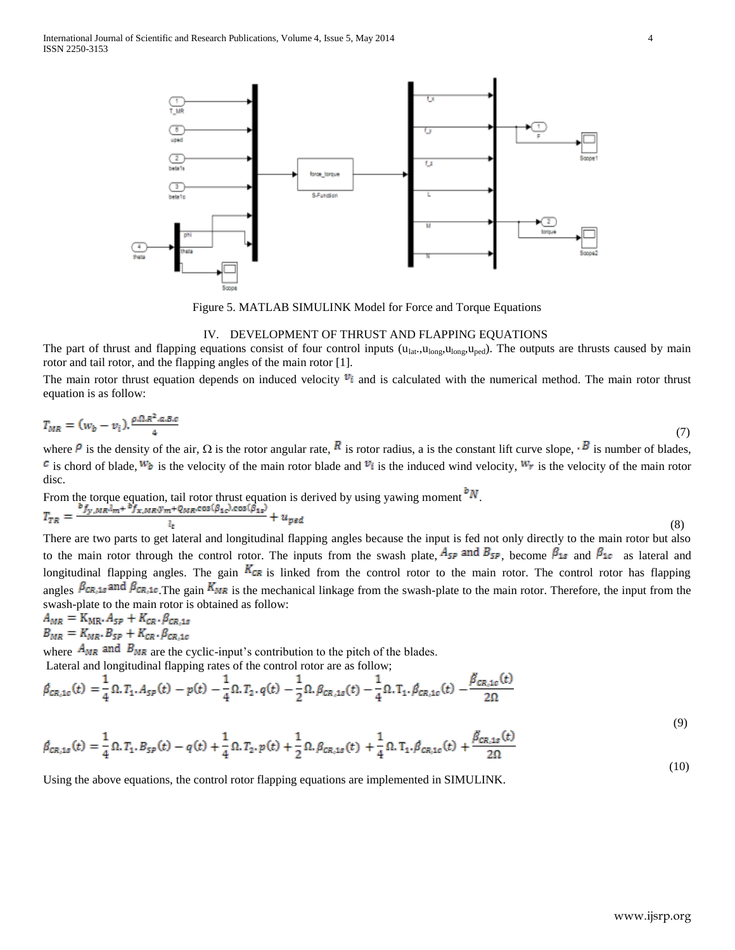

Figure 5. MATLAB SIMULINK Model for Force and Torque Equations

#### IV. DEVELOPMENT OF THRUST AND FLAPPING EQUATIONS

The part of thrust and flapping equations consist of four control inputs ( $u_{lat}$ , $u_{long}$ , $u_{long}$ , $u_{long}$ ). The outputs are thrusts caused by main rotor and tail rotor, and the flapping angles of the main rotor [1].

The main rotor thrust equation depends on induced velocity  $v_i$  and is calculated with the numerical method. The main rotor thrust equation is as follow:

$$
T_{MR} = (w_b - v_i). \frac{\rho \Omega R^2 a B c}{4} \tag{7}
$$

where  $\hat{P}$  is the density of the air,  $\Omega$  is the rotor angular rate,  $\hat{R}$  is rotor radius, a is the constant lift curve slope,  $\cdot \hat{B}$  is number of blades, <sup>*c*</sup> is chord of blade,  $W_b$  is the velocity of the main rotor blade and  $V_i$  is the induced wind velocity,  $W_r$  is the velocity of the main rotor disc.

From the torque equation, tail rotor thrust equation is derived by using yawing moment  $\sqrt{\mu}$ . (8)

There are two parts to get lateral and longitudinal flapping angles because the input is fed not only directly to the main rotor but also to the main rotor through the control rotor. The inputs from the swash plate,  $A_{SP}$  and  $B_{SP}$ , become  $\beta_{1s}$  and  $\beta_{1c}$  as lateral and longitudinal flapping angles. The gain  $K_{CR}$  is linked from the control rotor to the main rotor. The control rotor has flapping angles  $\beta_{CR,1s}$  and  $\beta_{CR,1c}$ . The gain  $K_{MR}$  is the mechanical linkage from the swash-plate to the main rotor. Therefore, the input from the swash-plate to the main rotor is obtained as follow:

$$
A_{MR} = K_{MR} \cdot A_{SP} + K_{CR} \cdot \beta_{CR,1s}
$$
  

$$
B_{MR} = K_{MR} \cdot B_{SP} + K_{CR} \cdot \beta_{CR,1c}
$$

where  $A_{MR}$  and  $B_{MR}$  are the cyclic-input's contribution to the pitch of the blades. Lateral and longitudinal flapping rates of the control rotor are as follow;

$$
\beta_{CR,1c}(t) = \frac{1}{4} \Omega. T_1. A_{SP}(t) - p(t) - \frac{1}{4} \Omega. T_2. q(t) - \frac{1}{2} \Omega. \beta_{CR,1s}(t) - \frac{1}{4} \Omega. T_1. \beta_{CR,1c}(t) - \frac{\beta_{CR,1c}(t)}{2\Omega}
$$
\n(9)

$$
\beta_{CR,1s}(t) = \frac{1}{4} \Omega. T_1. B_{SP}(t) - q(t) + \frac{1}{4} \Omega. T_2. p(t) + \frac{1}{2} \Omega. \beta_{CR,1s}(t) + \frac{1}{4} \Omega. T_1. \beta_{CR,1c}(t) + \frac{\beta_{CR,1s}(t)}{2\Omega}
$$
\n(10)

Using the above equations, the control rotor flapping equations are implemented in SIMULINK.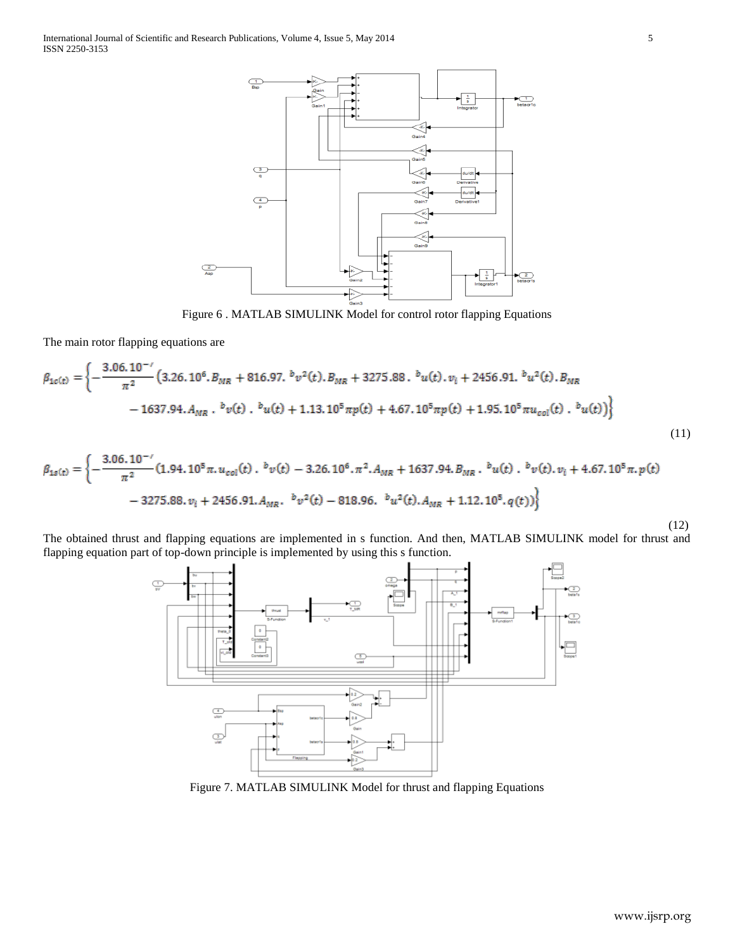

Figure 6 . MATLAB SIMULINK Model for control rotor flapping Equations

The main rotor flapping equations are

$$
\beta_{1c(t)} = \left\{ -\frac{3.06 \cdot 10^{-7}}{\pi^2} \left( 3.26 \cdot 10^6 \cdot B_{MR} + 816.97 \cdot {^b}v^2(t) \cdot B_{MR} + 3275.88 \cdot {^b}u(t) \cdot v_i + 2456.91 \cdot {^b}u^2(t) \cdot B_{MR} \right. \\ \left. - 1637.94 \cdot A_{MR} \cdot {^b}v(t) \cdot {^b}u(t) + 1.13 \cdot 10^5 \pi p(t) + 4.67 \cdot 10^5 \pi p(t) + 1.95 \cdot 10^5 \pi u_{col}(t) \cdot {^b}u(t) \right) \right\}
$$
\n(11)

$$
\beta_{1s(t)} = \left\{ -\frac{3.06 \cdot 10^{-7}}{\pi^2} (1.94 \cdot 10^5 \pi, u_{col}(t) \cdot b_v(t) - 3.26 \cdot 10^6 \cdot \pi^2, A_{MR} + 1637.94 B_{MR} \cdot b_u(t) \cdot b_v(t) \cdot v_i + 4.67 \cdot 10^5 \pi, p(t) \right. \\ - 3275.88 \cdot v_i + 2456.91 \cdot A_{MR} \cdot b_v(t) - 818.96 \cdot b_u^2(t) \cdot A_{MR} + 1.12 \cdot 10^5 \cdot q(t) \right\}
$$

The obtained thrust and flapping equations are implemented in s function. And then, MATLAB SIMULINK model for thrust and flapping equation part of top-down principle is implemented by using this s function.



Figure 7. MATLAB SIMULINK Model for thrust and flapping Equations

(12)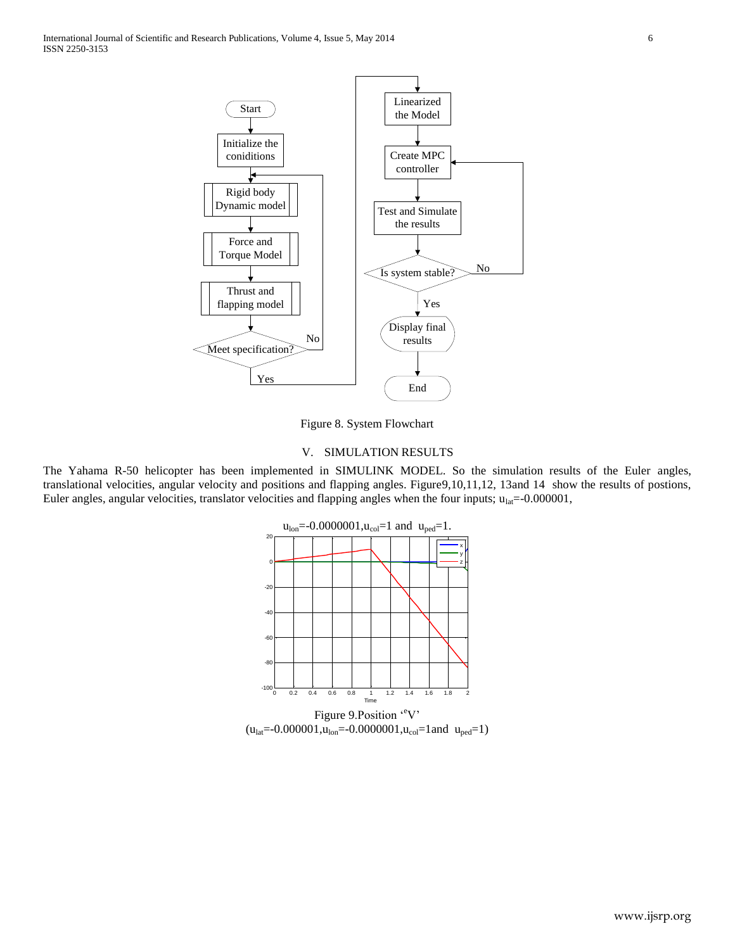

Figure 8. System Flowchart

#### V. SIMULATION RESULTS

The Yahama R-50 helicopter has been implemented in SIMULINK MODEL. So the simulation results of the Euler angles, translational velocities, angular velocity and positions and flapping angles. Figure9,10,11,12, 13and 14 show the results of postions, Euler angles, angular velocities, translator velocities and flapping angles when the four inputs;  $u_{lat}$ =-0.000001,

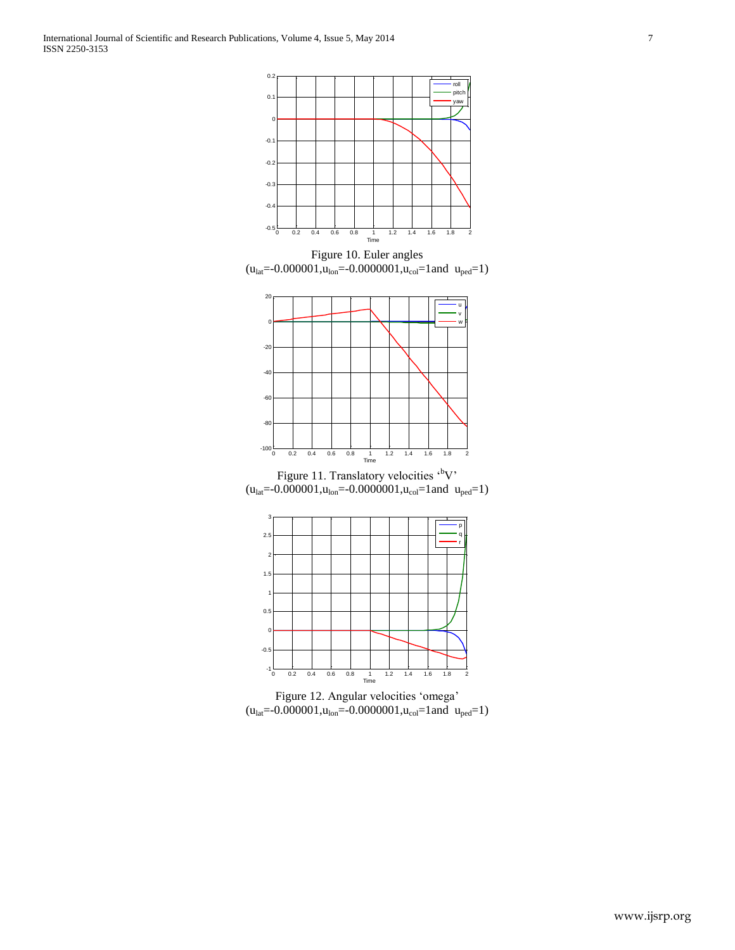

Figure 10. Euler angles  $(u<sub>lat</sub>=0.000001, u<sub>lon</sub>=0.0000001, u<sub>col</sub>=1$  and  $u<sub>ped</sub>=1)$ 



Figure 11. Translatory velocities  $\cdot^b$ V'  $(u<sub>lat</sub>=0.000001, u<sub>lon</sub>=0.0000001, u<sub>col</sub>=1$  and  $u<sub>ped</sub>=1)$ 



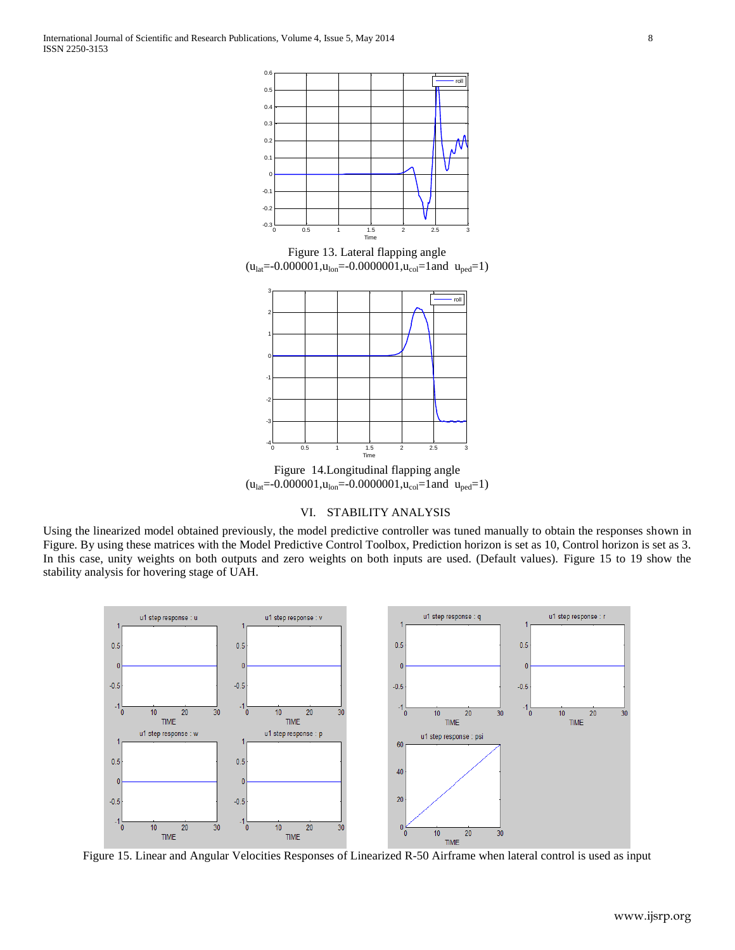

Figure 13. Lateral flapping angle  $(u<sub>lat</sub>=-0.000001, u<sub>lon</sub>=-0.0000001, u<sub>col</sub>=1$  and  $u<sub>ped</sub>=1)$ 



Figure 14.Longitudinal flapping angle  $(u<sub>lat</sub>=-0.000001, u<sub>lon</sub>=-0.0000001, u<sub>col</sub>=1$  and  $u<sub>ped</sub>=1)$ 

## VI. STABILITY ANALYSIS

Using the linearized model obtained previously, the model predictive controller was tuned manually to obtain the responses shown in Figure. By using these matrices with the Model Predictive Control Toolbox, Prediction horizon is set as 10, Control horizon is set as 3. In this case, unity weights on both outputs and zero weights on both inputs are used. (Default values). Figure 15 to 19 show the stability analysis for hovering stage of UAH.



Figure 15. Linear and Angular Velocities Responses of Linearized R-50 Airframe when lateral control is used as input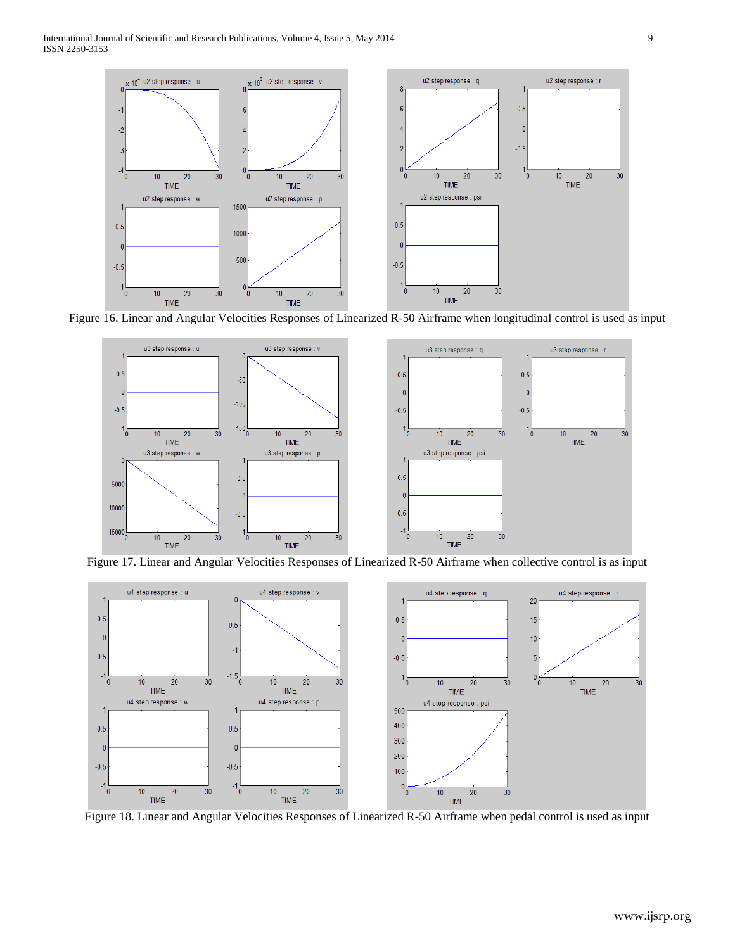

Figure 16. Linear and Angular Velocities Responses of Linearized R-50 Airframe when longitudinal control is used as input



Figure 17. Linear and Angular Velocities Responses of Linearized R-50 Airframe when collective control is as input



Figure 18. Linear and Angular Velocities Responses of Linearized R-50 Airframe when pedal control is used as input